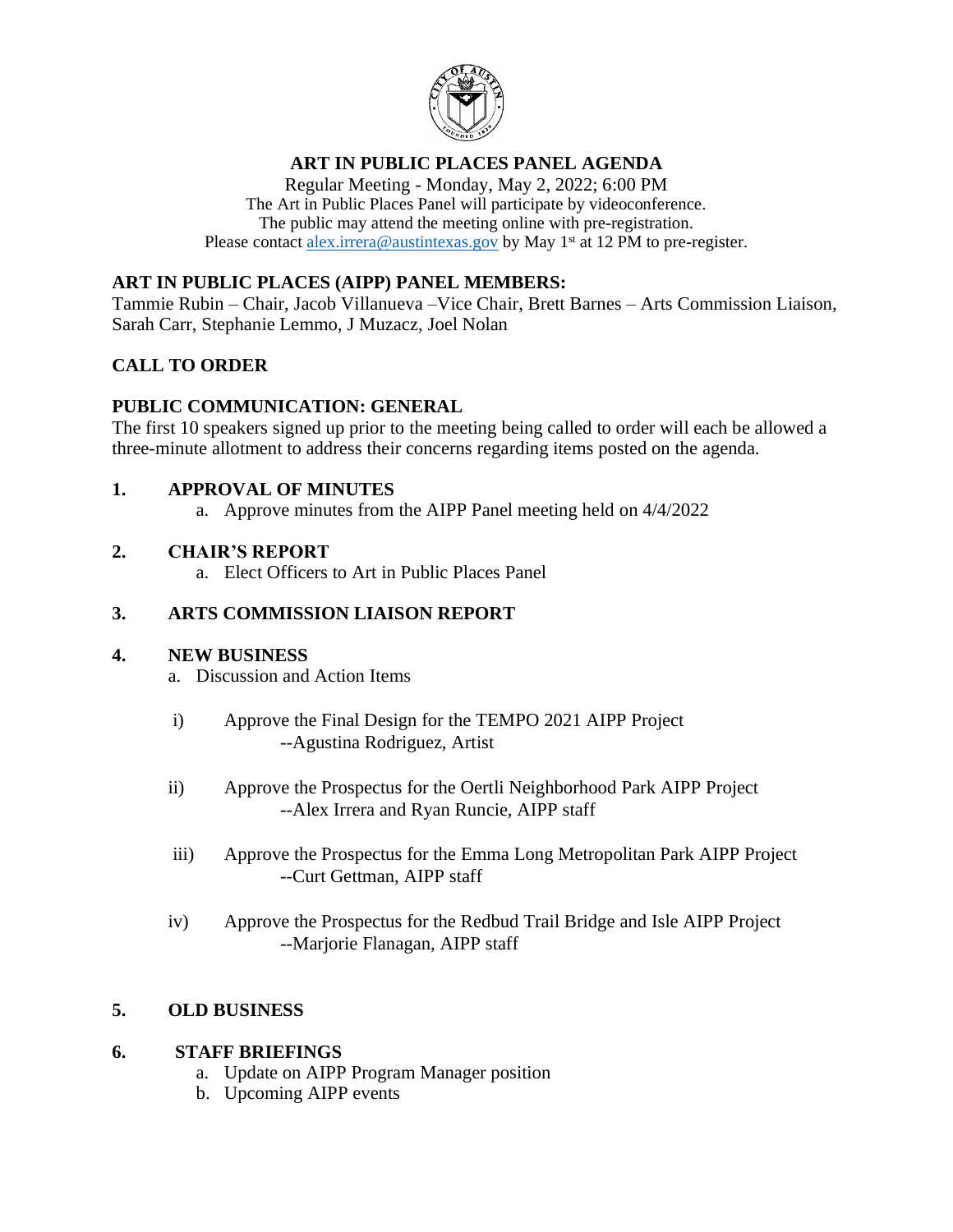

# **ART IN PUBLIC PLACES PANEL AGENDA**

Regular Meeting - Monday, May 2, 2022; 6:00 PM The Art in Public Places Panel will participate by videoconference. The public may attend the meeting online with pre-registration. Please contact [alex.irrera@austintexas.gov](mailto:alex.irrera@austintexas.gov) by May 1<sup>st</sup> at 12 PM to pre-register.

## **ART IN PUBLIC PLACES (AIPP) PANEL MEMBERS:**

Tammie Rubin – Chair, Jacob Villanueva –Vice Chair, Brett Barnes – Arts Commission Liaison, Sarah Carr, Stephanie Lemmo, J Muzacz, Joel Nolan

# **CALL TO ORDER**

### **PUBLIC COMMUNICATION: GENERAL**

The first 10 speakers signed up prior to the meeting being called to order will each be allowed a three-minute allotment to address their concerns regarding items posted on the agenda.

#### **1. APPROVAL OF MINUTES**

a. Approve minutes from the AIPP Panel meeting held on 4/4/2022

#### **2. CHAIR'S REPORT**

a. Elect Officers to Art in Public Places Panel

### **3. ARTS COMMISSION LIAISON REPORT**

#### **4. NEW BUSINESS**

- a. Discussion and Action Items
- i) Approve the Final Design for the TEMPO 2021 AIPP Project --Agustina Rodriguez, Artist
- ii) Approve the Prospectus for the Oertli Neighborhood Park AIPP Project --Alex Irrera and Ryan Runcie, AIPP staff
- iii) Approve the Prospectus for the Emma Long Metropolitan Park AIPP Project --Curt Gettman, AIPP staff
- iv) Approve the Prospectus for the Redbud Trail Bridge and Isle AIPP Project --Marjorie Flanagan, AIPP staff

# **5. OLD BUSINESS**

#### **6. STAFF BRIEFINGS**

- a. Update on AIPP Program Manager position
- b. Upcoming AIPP events